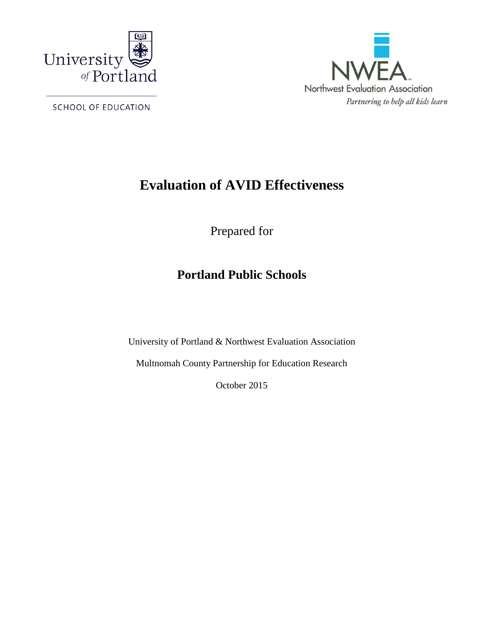

SCHOOL OF EDUCATION



# **Evaluation of AVID Effectiveness**

Prepared for

# **Portland Public Schools**

University of Portland & Northwest Evaluation Association

Multnomah County Partnership for Education Research

October 2015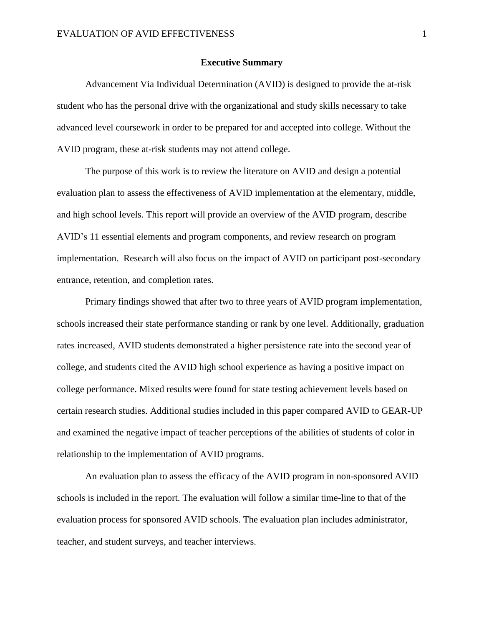## **Executive Summary**

Advancement Via Individual Determination (AVID) is designed to provide the at-risk student who has the personal drive with the organizational and study skills necessary to take advanced level coursework in order to be prepared for and accepted into college. Without the AVID program, these at-risk students may not attend college.

The purpose of this work is to review the literature on AVID and design a potential evaluation plan to assess the effectiveness of AVID implementation at the elementary, middle, and high school levels. This report will provide an overview of the AVID program, describe AVID's 11 essential elements and program components, and review research on program implementation. Research will also focus on the impact of AVID on participant post-secondary entrance, retention, and completion rates.

Primary findings showed that after two to three years of AVID program implementation, schools increased their state performance standing or rank by one level. Additionally, graduation rates increased, AVID students demonstrated a higher persistence rate into the second year of college, and students cited the AVID high school experience as having a positive impact on college performance. Mixed results were found for state testing achievement levels based on certain research studies. Additional studies included in this paper compared AVID to GEAR-UP and examined the negative impact of teacher perceptions of the abilities of students of color in relationship to the implementation of AVID programs.

An evaluation plan to assess the efficacy of the AVID program in non-sponsored AVID schools is included in the report. The evaluation will follow a similar time-line to that of the evaluation process for sponsored AVID schools. The evaluation plan includes administrator, teacher, and student surveys, and teacher interviews.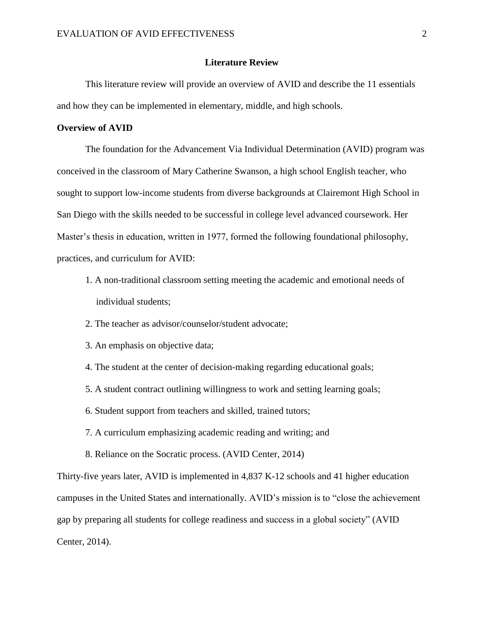## **Literature Review**

This literature review will provide an overview of AVID and describe the 11 essentials and how they can be implemented in elementary, middle, and high schools.

# **Overview of AVID**

The foundation for the Advancement Via Individual Determination (AVID) program was conceived in the classroom of Mary Catherine Swanson, a high school English teacher, who sought to support low-income students from diverse backgrounds at Clairemont High School in San Diego with the skills needed to be successful in college level advanced coursework. Her Master's thesis in education, written in 1977, formed the following foundational philosophy, practices, and curriculum for AVID:

- 1. A non-traditional classroom setting meeting the academic and emotional needs of individual students;
- 2. The teacher as advisor/counselor/student advocate;
- 3. An emphasis on objective data;
- 4. The student at the center of decision-making regarding educational goals;
- 5. A student contract outlining willingness to work and setting learning goals;
- 6. Student support from teachers and skilled, trained tutors;
- 7. A curriculum emphasizing academic reading and writing; and
- 8. Reliance on the Socratic process. (AVID Center, 2014)

Thirty-five years later, AVID is implemented in 4,837 K-12 schools and 41 higher education campuses in the United States and internationally. AVID's mission is to "close the achievement gap by preparing all students for college readiness and success in a global society" (AVID Center, 2014).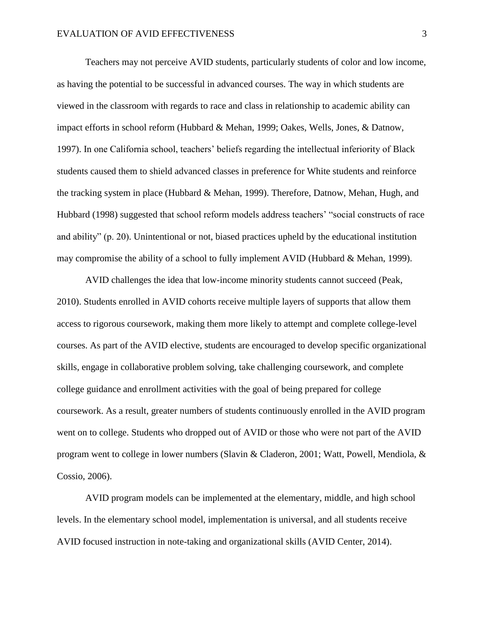Teachers may not perceive AVID students, particularly students of color and low income, as having the potential to be successful in advanced courses. The way in which students are viewed in the classroom with regards to race and class in relationship to academic ability can impact efforts in school reform (Hubbard & Mehan, 1999; Oakes, Wells, Jones, & Datnow, 1997). In one California school, teachers' beliefs regarding the intellectual inferiority of Black students caused them to shield advanced classes in preference for White students and reinforce the tracking system in place (Hubbard & Mehan, 1999). Therefore, Datnow, Mehan, Hugh, and Hubbard (1998) suggested that school reform models address teachers' "social constructs of race and ability" (p. 20). Unintentional or not, biased practices upheld by the educational institution may compromise the ability of a school to fully implement AVID (Hubbard & Mehan, 1999).

AVID challenges the idea that low-income minority students cannot succeed (Peak, 2010). Students enrolled in AVID cohorts receive multiple layers of supports that allow them access to rigorous coursework, making them more likely to attempt and complete college-level courses. As part of the AVID elective, students are encouraged to develop specific organizational skills, engage in collaborative problem solving, take challenging coursework, and complete college guidance and enrollment activities with the goal of being prepared for college coursework. As a result, greater numbers of students continuously enrolled in the AVID program went on to college. Students who dropped out of AVID or those who were not part of the AVID program went to college in lower numbers (Slavin & Claderon, 2001; Watt, Powell, Mendiola, & Cossio, 2006).

AVID program models can be implemented at the elementary, middle, and high school levels. In the elementary school model, implementation is universal, and all students receive AVID focused instruction in note-taking and organizational skills (AVID Center, 2014).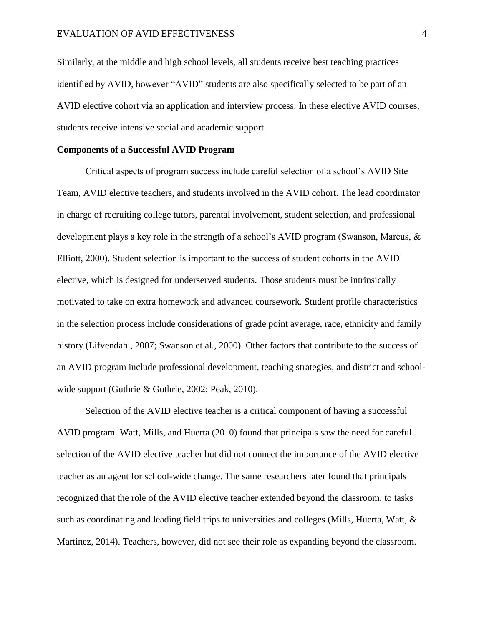Similarly, at the middle and high school levels, all students receive best teaching practices identified by AVID, however "AVID" students are also specifically selected to be part of an AVID elective cohort via an application and interview process. In these elective AVID courses, students receive intensive social and academic support.

## **Components of a Successful AVID Program**

Critical aspects of program success include careful selection of a school's AVID Site Team, AVID elective teachers, and students involved in the AVID cohort. The lead coordinator in charge of recruiting college tutors, parental involvement, student selection, and professional development plays a key role in the strength of a school's AVID program (Swanson, Marcus, & Elliott, 2000). Student selection is important to the success of student cohorts in the AVID elective, which is designed for underserved students. Those students must be intrinsically motivated to take on extra homework and advanced coursework. Student profile characteristics in the selection process include considerations of grade point average, race, ethnicity and family history (Lifvendahl, 2007; Swanson et al., 2000). Other factors that contribute to the success of an AVID program include professional development, teaching strategies, and district and schoolwide support (Guthrie & Guthrie, 2002; Peak, 2010).

Selection of the AVID elective teacher is a critical component of having a successful AVID program. Watt, Mills, and Huerta (2010) found that principals saw the need for careful selection of the AVID elective teacher but did not connect the importance of the AVID elective teacher as an agent for school-wide change. The same researchers later found that principals recognized that the role of the AVID elective teacher extended beyond the classroom, to tasks such as coordinating and leading field trips to universities and colleges (Mills, Huerta, Watt, & Martinez, 2014). Teachers, however, did not see their role as expanding beyond the classroom.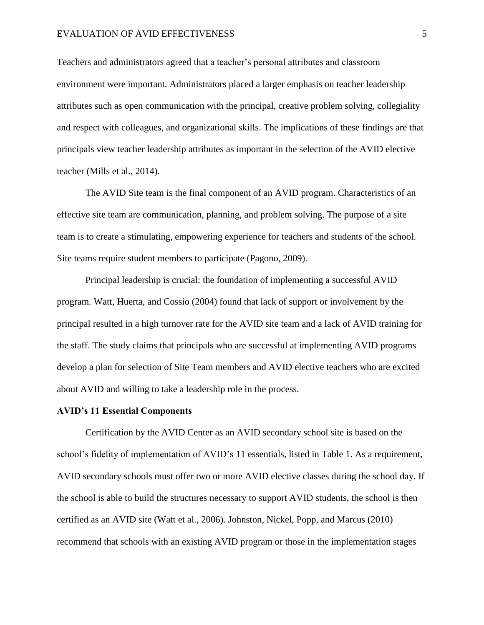### EVALUATION OF AVID EFFECTIVENESS 5

Teachers and administrators agreed that a teacher's personal attributes and classroom environment were important. Administrators placed a larger emphasis on teacher leadership attributes such as open communication with the principal, creative problem solving, collegiality and respect with colleagues, and organizational skills. The implications of these findings are that principals view teacher leadership attributes as important in the selection of the AVID elective teacher (Mills et al., 2014).

The AVID Site team is the final component of an AVID program. Characteristics of an effective site team are communication, planning, and problem solving. The purpose of a site team is to create a stimulating, empowering experience for teachers and students of the school. Site teams require student members to participate (Pagono, 2009).

Principal leadership is crucial: the foundation of implementing a successful AVID program. Watt, Huerta, and Cossio (2004) found that lack of support or involvement by the principal resulted in a high turnover rate for the AVID site team and a lack of AVID training for the staff. The study claims that principals who are successful at implementing AVID programs develop a plan for selection of Site Team members and AVID elective teachers who are excited about AVID and willing to take a leadership role in the process.

#### **AVID's 11 Essential Components**

Certification by the AVID Center as an AVID secondary school site is based on the school's fidelity of implementation of AVID's 11 essentials, listed in Table 1. As a requirement, AVID secondary schools must offer two or more AVID elective classes during the school day. If the school is able to build the structures necessary to support AVID students, the school is then certified as an AVID site (Watt et al., 2006). Johnston, Nickel, Popp, and Marcus (2010) recommend that schools with an existing AVID program or those in the implementation stages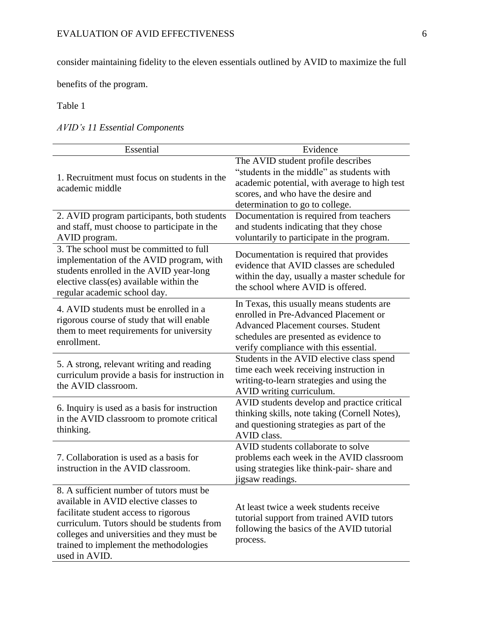consider maintaining fidelity to the eleven essentials outlined by AVID to maximize the full

benefits of the program.

Table 1

*AVID's 11 Essential Components*

| Essential                                                                                                                                                                                                                                                                         | Evidence                                                                                                                                                                                                             |
|-----------------------------------------------------------------------------------------------------------------------------------------------------------------------------------------------------------------------------------------------------------------------------------|----------------------------------------------------------------------------------------------------------------------------------------------------------------------------------------------------------------------|
| 1. Recruitment must focus on students in the<br>academic middle                                                                                                                                                                                                                   | The AVID student profile describes<br>"students in the middle" as students with<br>academic potential, with average to high test<br>scores, and who have the desire and<br>determination to go to college.           |
| 2. AVID program participants, both students<br>and staff, must choose to participate in the<br>AVID program.                                                                                                                                                                      | Documentation is required from teachers<br>and students indicating that they chose<br>voluntarily to participate in the program.                                                                                     |
| 3. The school must be committed to full<br>implementation of the AVID program, with<br>students enrolled in the AVID year-long<br>elective class(es) available within the<br>regular academic school day.                                                                         | Documentation is required that provides<br>evidence that AVID classes are scheduled<br>within the day, usually a master schedule for<br>the school where AVID is offered.                                            |
| 4. AVID students must be enrolled in a<br>rigorous course of study that will enable<br>them to meet requirements for university<br>enrollment.                                                                                                                                    | In Texas, this usually means students are<br>enrolled in Pre-Advanced Placement or<br><b>Advanced Placement courses. Student</b><br>schedules are presented as evidence to<br>verify compliance with this essential. |
| 5. A strong, relevant writing and reading<br>curriculum provide a basis for instruction in<br>the AVID classroom.                                                                                                                                                                 | Students in the AVID elective class spend<br>time each week receiving instruction in<br>writing-to-learn strategies and using the<br>AVID writing curriculum.                                                        |
| 6. Inquiry is used as a basis for instruction<br>in the AVID classroom to promote critical<br>thinking.                                                                                                                                                                           | AVID students develop and practice critical<br>thinking skills, note taking (Cornell Notes),<br>and questioning strategies as part of the<br>AVID class.                                                             |
| 7. Collaboration is used as a basis for<br>instruction in the AVID classroom.                                                                                                                                                                                                     | AVID students collaborate to solve<br>problems each week in the AVID classroom<br>using strategies like think-pair-share and<br>jigsaw readings.                                                                     |
| 8. A sufficient number of tutors must be<br>available in AVID elective classes to<br>facilitate student access to rigorous<br>curriculum. Tutors should be students from<br>colleges and universities and they must be<br>trained to implement the methodologies<br>used in AVID. | At least twice a week students receive<br>tutorial support from trained AVID tutors<br>following the basics of the AVID tutorial<br>process.                                                                         |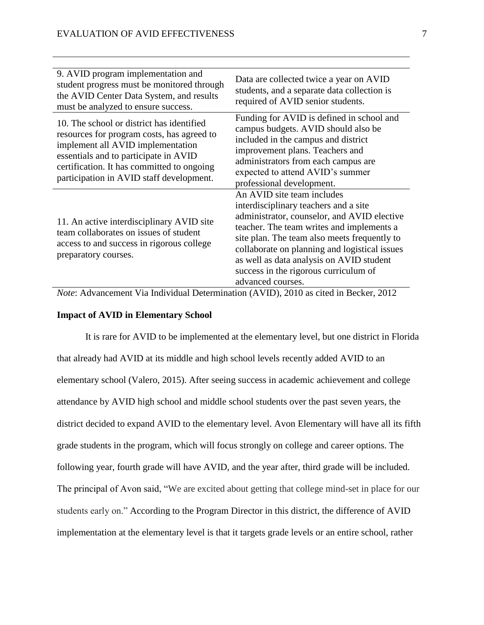| 9. AVID program implementation and<br>student progress must be monitored through<br>the AVID Center Data System, and results<br>must be analyzed to ensure success.                                                                                             | Data are collected twice a year on AVID<br>students, and a separate data collection is<br>required of AVID senior students.                                                                                                                                                                                                                                                |
|-----------------------------------------------------------------------------------------------------------------------------------------------------------------------------------------------------------------------------------------------------------------|----------------------------------------------------------------------------------------------------------------------------------------------------------------------------------------------------------------------------------------------------------------------------------------------------------------------------------------------------------------------------|
| 10. The school or district has identified<br>resources for program costs, has agreed to<br>implement all AVID implementation<br>essentials and to participate in AVID<br>certification. It has committed to ongoing<br>participation in AVID staff development. | Funding for AVID is defined in school and<br>campus budgets. AVID should also be<br>included in the campus and district<br>improvement plans. Teachers and<br>administrators from each campus are<br>expected to attend AVID's summer<br>professional development.                                                                                                         |
| 11. An active interdisciplinary AVID site<br>team collaborates on issues of student<br>access to and success in rigorous college<br>preparatory courses.                                                                                                        | An AVID site team includes<br>interdisciplinary teachers and a site<br>administrator, counselor, and AVID elective<br>teacher. The team writes and implements a<br>site plan. The team also meets frequently to<br>collaborate on planning and logistical issues<br>as well as data analysis on AVID student<br>success in the rigorous curriculum of<br>advanced courses. |

*Note*: Advancement Via Individual Determination (AVID), 2010 as cited in Becker, 2012

# **Impact of AVID in Elementary School**

It is rare for AVID to be implemented at the elementary level, but one district in Florida that already had AVID at its middle and high school levels recently added AVID to an elementary school (Valero, 2015). After seeing success in academic achievement and college attendance by AVID high school and middle school students over the past seven years, the district decided to expand AVID to the elementary level. Avon Elementary will have all its fifth grade students in the program, which will focus strongly on college and career options. The following year, fourth grade will have AVID, and the year after, third grade will be included. The principal of Avon said, "We are excited about getting that college mind-set in place for our students early on." According to the Program Director in this district, the difference of AVID implementation at the elementary level is that it targets grade levels or an entire school, rather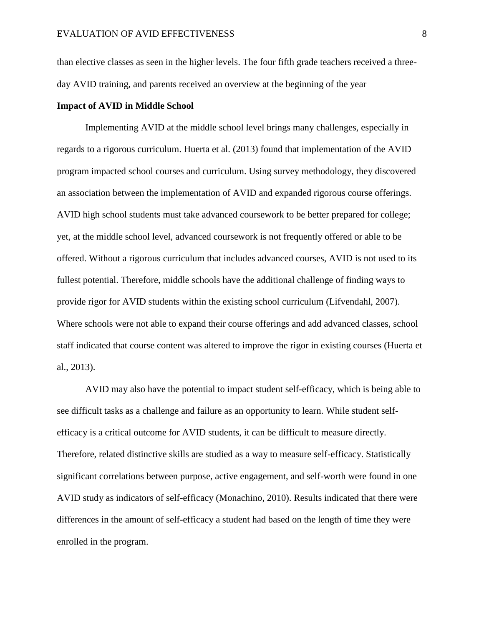than elective classes as seen in the higher levels. The four fifth grade teachers received a threeday AVID training, and parents received an overview at the beginning of the year

## **Impact of AVID in Middle School**

Implementing AVID at the middle school level brings many challenges, especially in regards to a rigorous curriculum. Huerta et al. (2013) found that implementation of the AVID program impacted school courses and curriculum. Using survey methodology, they discovered an association between the implementation of AVID and expanded rigorous course offerings. AVID high school students must take advanced coursework to be better prepared for college; yet, at the middle school level, advanced coursework is not frequently offered or able to be offered. Without a rigorous curriculum that includes advanced courses, AVID is not used to its fullest potential. Therefore, middle schools have the additional challenge of finding ways to provide rigor for AVID students within the existing school curriculum (Lifvendahl, 2007). Where schools were not able to expand their course offerings and add advanced classes, school staff indicated that course content was altered to improve the rigor in existing courses (Huerta et al., 2013).

AVID may also have the potential to impact student self-efficacy, which is being able to see difficult tasks as a challenge and failure as an opportunity to learn. While student selfefficacy is a critical outcome for AVID students, it can be difficult to measure directly. Therefore, related distinctive skills are studied as a way to measure self-efficacy. Statistically significant correlations between purpose, active engagement, and self-worth were found in one AVID study as indicators of self-efficacy (Monachino, 2010). Results indicated that there were differences in the amount of self-efficacy a student had based on the length of time they were enrolled in the program.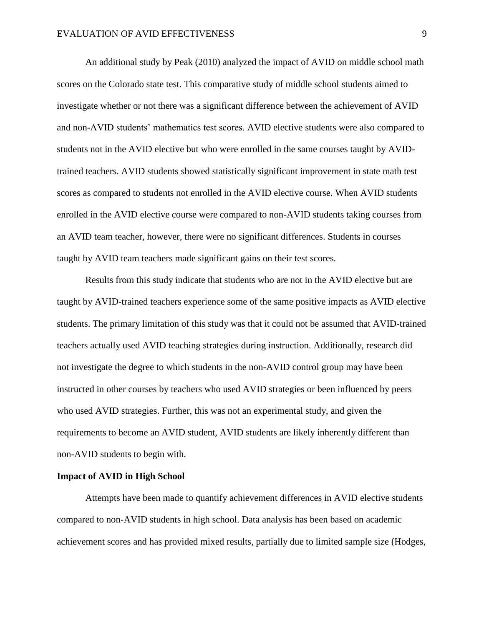An additional study by Peak (2010) analyzed the impact of AVID on middle school math scores on the Colorado state test. This comparative study of middle school students aimed to investigate whether or not there was a significant difference between the achievement of AVID and non-AVID students' mathematics test scores. AVID elective students were also compared to students not in the AVID elective but who were enrolled in the same courses taught by AVIDtrained teachers. AVID students showed statistically significant improvement in state math test scores as compared to students not enrolled in the AVID elective course. When AVID students enrolled in the AVID elective course were compared to non-AVID students taking courses from an AVID team teacher, however, there were no significant differences. Students in courses taught by AVID team teachers made significant gains on their test scores.

Results from this study indicate that students who are not in the AVID elective but are taught by AVID-trained teachers experience some of the same positive impacts as AVID elective students. The primary limitation of this study was that it could not be assumed that AVID-trained teachers actually used AVID teaching strategies during instruction. Additionally, research did not investigate the degree to which students in the non-AVID control group may have been instructed in other courses by teachers who used AVID strategies or been influenced by peers who used AVID strategies. Further, this was not an experimental study, and given the requirements to become an AVID student, AVID students are likely inherently different than non-AVID students to begin with.

## **Impact of AVID in High School**

Attempts have been made to quantify achievement differences in AVID elective students compared to non-AVID students in high school. Data analysis has been based on academic achievement scores and has provided mixed results, partially due to limited sample size (Hodges,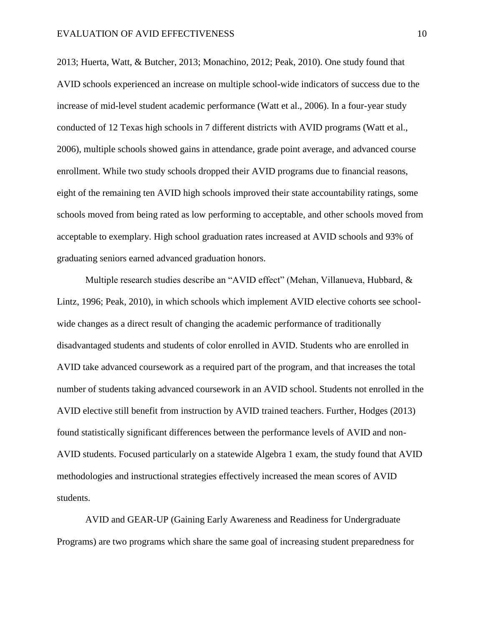2013; Huerta, Watt, & Butcher, 2013; Monachino, 2012; Peak, 2010). One study found that AVID schools experienced an increase on multiple school-wide indicators of success due to the increase of mid-level student academic performance (Watt et al., 2006). In a four-year study conducted of 12 Texas high schools in 7 different districts with AVID programs (Watt et al., 2006), multiple schools showed gains in attendance, grade point average, and advanced course enrollment. While two study schools dropped their AVID programs due to financial reasons, eight of the remaining ten AVID high schools improved their state accountability ratings, some schools moved from being rated as low performing to acceptable, and other schools moved from acceptable to exemplary. High school graduation rates increased at AVID schools and 93% of graduating seniors earned advanced graduation honors.

Multiple research studies describe an "AVID effect" (Mehan, Villanueva, Hubbard, & Lintz, 1996; Peak, 2010), in which schools which implement AVID elective cohorts see schoolwide changes as a direct result of changing the academic performance of traditionally disadvantaged students and students of color enrolled in AVID. Students who are enrolled in AVID take advanced coursework as a required part of the program, and that increases the total number of students taking advanced coursework in an AVID school. Students not enrolled in the AVID elective still benefit from instruction by AVID trained teachers. Further, Hodges (2013) found statistically significant differences between the performance levels of AVID and non-AVID students. Focused particularly on a statewide Algebra 1 exam, the study found that AVID methodologies and instructional strategies effectively increased the mean scores of AVID students.

AVID and GEAR-UP (Gaining Early Awareness and Readiness for Undergraduate Programs) are two programs which share the same goal of increasing student preparedness for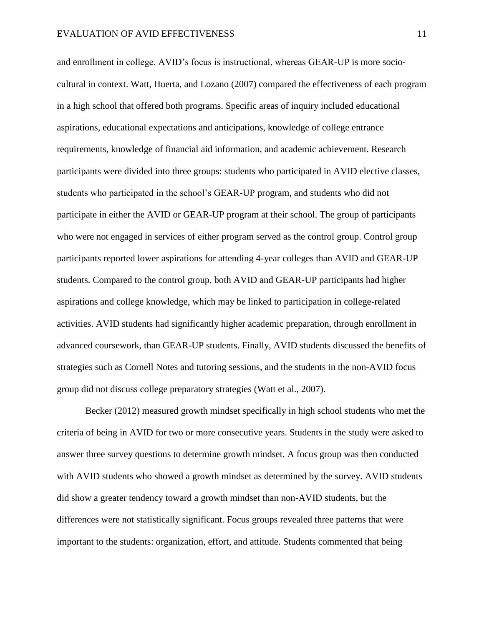and enrollment in college. AVID's focus is instructional, whereas GEAR-UP is more sociocultural in context. Watt, Huerta, and Lozano (2007) compared the effectiveness of each program in a high school that offered both programs. Specific areas of inquiry included educational aspirations, educational expectations and anticipations, knowledge of college entrance requirements, knowledge of financial aid information, and academic achievement. Research participants were divided into three groups: students who participated in AVID elective classes, students who participated in the school's GEAR-UP program, and students who did not participate in either the AVID or GEAR-UP program at their school. The group of participants who were not engaged in services of either program served as the control group. Control group participants reported lower aspirations for attending 4-year colleges than AVID and GEAR-UP students. Compared to the control group, both AVID and GEAR-UP participants had higher aspirations and college knowledge, which may be linked to participation in college-related activities. AVID students had significantly higher academic preparation, through enrollment in advanced coursework, than GEAR-UP students. Finally, AVID students discussed the benefits of strategies such as Cornell Notes and tutoring sessions, and the students in the non-AVID focus group did not discuss college preparatory strategies (Watt et al., 2007).

Becker (2012) measured growth mindset specifically in high school students who met the criteria of being in AVID for two or more consecutive years. Students in the study were asked to answer three survey questions to determine growth mindset. A focus group was then conducted with AVID students who showed a growth mindset as determined by the survey. AVID students did show a greater tendency toward a growth mindset than non-AVID students, but the differences were not statistically significant. Focus groups revealed three patterns that were important to the students: organization, effort, and attitude. Students commented that being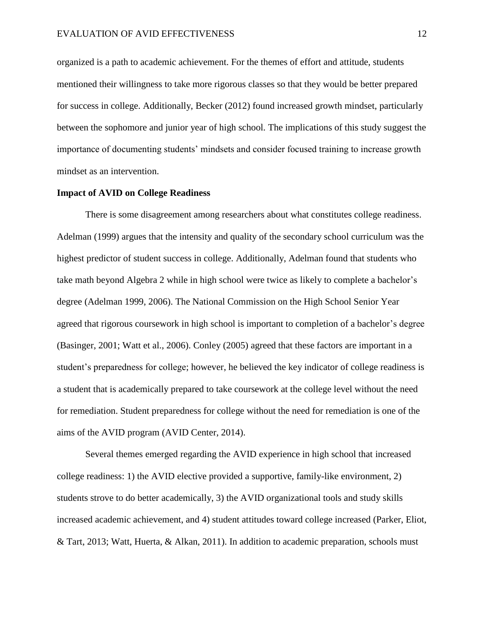organized is a path to academic achievement. For the themes of effort and attitude, students mentioned their willingness to take more rigorous classes so that they would be better prepared for success in college. Additionally, Becker (2012) found increased growth mindset, particularly between the sophomore and junior year of high school. The implications of this study suggest the importance of documenting students' mindsets and consider focused training to increase growth mindset as an intervention.

# **Impact of AVID on College Readiness**

There is some disagreement among researchers about what constitutes college readiness. Adelman (1999) argues that the intensity and quality of the secondary school curriculum was the highest predictor of student success in college. Additionally, Adelman found that students who take math beyond Algebra 2 while in high school were twice as likely to complete a bachelor's degree (Adelman 1999, 2006). The National Commission on the High School Senior Year agreed that rigorous coursework in high school is important to completion of a bachelor's degree (Basinger, 2001; Watt et al., 2006). Conley (2005) agreed that these factors are important in a student's preparedness for college; however, he believed the key indicator of college readiness is a student that is academically prepared to take coursework at the college level without the need for remediation. Student preparedness for college without the need for remediation is one of the aims of the AVID program (AVID Center, 2014).

Several themes emerged regarding the AVID experience in high school that increased college readiness: 1) the AVID elective provided a supportive, family-like environment, 2) students strove to do better academically, 3) the AVID organizational tools and study skills increased academic achievement, and 4) student attitudes toward college increased (Parker, Eliot, & Tart, 2013; Watt, Huerta, & Alkan, 2011). In addition to academic preparation, schools must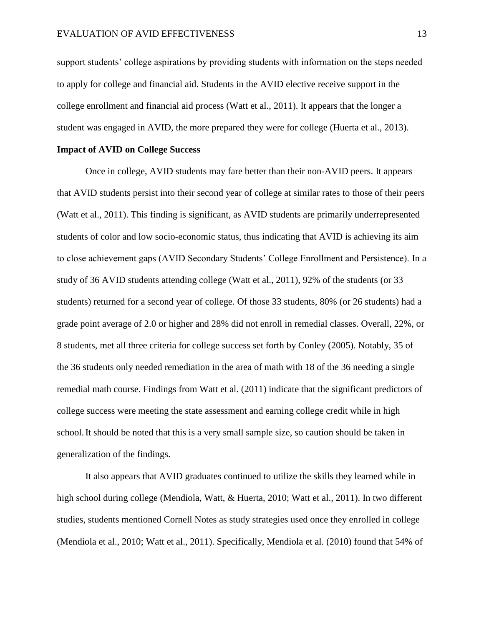support students' college aspirations by providing students with information on the steps needed to apply for college and financial aid. Students in the AVID elective receive support in the college enrollment and financial aid process (Watt et al., 2011). It appears that the longer a student was engaged in AVID, the more prepared they were for college (Huerta et al., 2013).

## **Impact of AVID on College Success**

Once in college, AVID students may fare better than their non-AVID peers. It appears that AVID students persist into their second year of college at similar rates to those of their peers (Watt et al., 2011). This finding is significant, as AVID students are primarily underrepresented students of color and low socio-economic status, thus indicating that AVID is achieving its aim to close achievement gaps (AVID Secondary Students' College Enrollment and Persistence). In a study of 36 AVID students attending college (Watt et al., 2011), 92% of the students (or 33 students) returned for a second year of college. Of those 33 students, 80% (or 26 students) had a grade point average of 2.0 or higher and 28% did not enroll in remedial classes. Overall, 22%, or 8 students, met all three criteria for college success set forth by Conley (2005). Notably, 35 of the 36 students only needed remediation in the area of math with 18 of the 36 needing a single remedial math course. Findings from Watt et al. (2011) indicate that the significant predictors of college success were meeting the state assessment and earning college credit while in high school.It should be noted that this is a very small sample size, so caution should be taken in generalization of the findings.

It also appears that AVID graduates continued to utilize the skills they learned while in high school during college (Mendiola, Watt, & Huerta, 2010; Watt et al., 2011). In two different studies, students mentioned Cornell Notes as study strategies used once they enrolled in college (Mendiola et al., 2010; Watt et al., 2011). Specifically, Mendiola et al. (2010) found that 54% of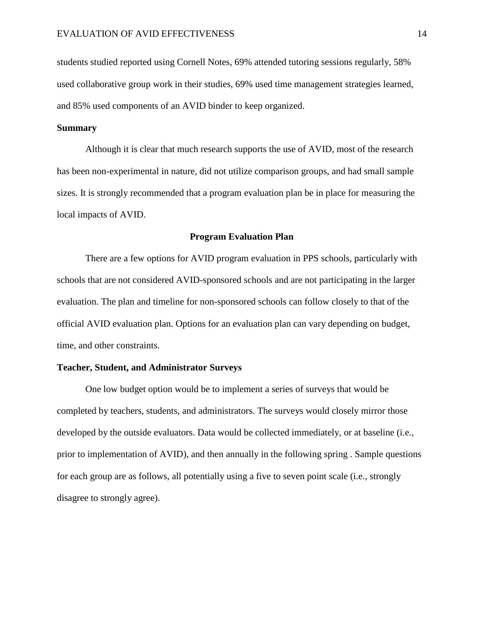students studied reported using Cornell Notes, 69% attended tutoring sessions regularly, 58% used collaborative group work in their studies, 69% used time management strategies learned, and 85% used components of an AVID binder to keep organized.

## **Summary**

Although it is clear that much research supports the use of AVID, most of the research has been non-experimental in nature, did not utilize comparison groups, and had small sample sizes. It is strongly recommended that a program evaluation plan be in place for measuring the local impacts of AVID.

### **Program Evaluation Plan**

There are a few options for AVID program evaluation in PPS schools, particularly with schools that are not considered AVID-sponsored schools and are not participating in the larger evaluation. The plan and timeline for non-sponsored schools can follow closely to that of the official AVID evaluation plan. Options for an evaluation plan can vary depending on budget, time, and other constraints.

## **Teacher, Student, and Administrator Surveys**

One low budget option would be to implement a series of surveys that would be completed by teachers, students, and administrators. The surveys would closely mirror those developed by the outside evaluators. Data would be collected immediately, or at baseline (i.e., prior to implementation of AVID), and then annually in the following spring . Sample questions for each group are as follows, all potentially using a five to seven point scale (i.e., strongly disagree to strongly agree).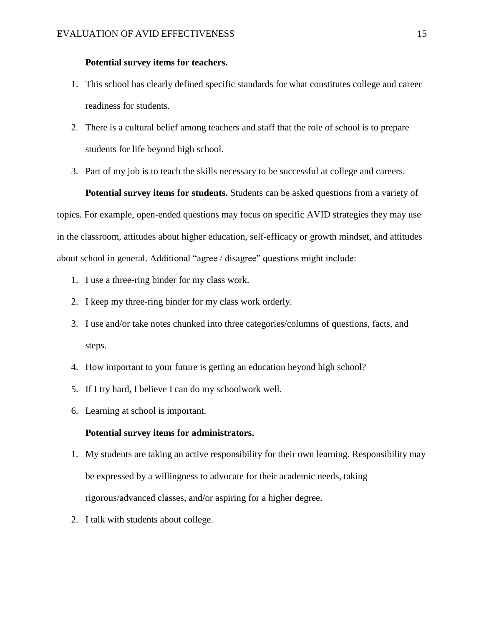## **Potential survey items for teachers.**

- 1. This school has clearly defined specific standards for what constitutes college and career readiness for students.
- 2. There is a cultural belief among teachers and staff that the role of school is to prepare students for life beyond high school.
- 3. Part of my job is to teach the skills necessary to be successful at college and careers.

**Potential survey items for students.** Students can be asked questions from a variety of topics. For example, open-ended questions may focus on specific AVID strategies they may use in the classroom, attitudes about higher education, self-efficacy or growth mindset, and attitudes about school in general. Additional "agree / disagree" questions might include:

- 1. I use a three-ring binder for my class work.
- 2. I keep my three-ring binder for my class work orderly.
- 3. I use and/or take notes chunked into three categories/columns of questions, facts, and steps.
- 4. How important to your future is getting an education beyond high school?
- 5. If I try hard, I believe I can do my schoolwork well.
- 6. Learning at school is important.

## **Potential survey items for administrators.**

- 1. My students are taking an active responsibility for their own learning. Responsibility may be expressed by a willingness to advocate for their academic needs, taking rigorous/advanced classes, and/or aspiring for a higher degree.
- 2. I talk with students about college.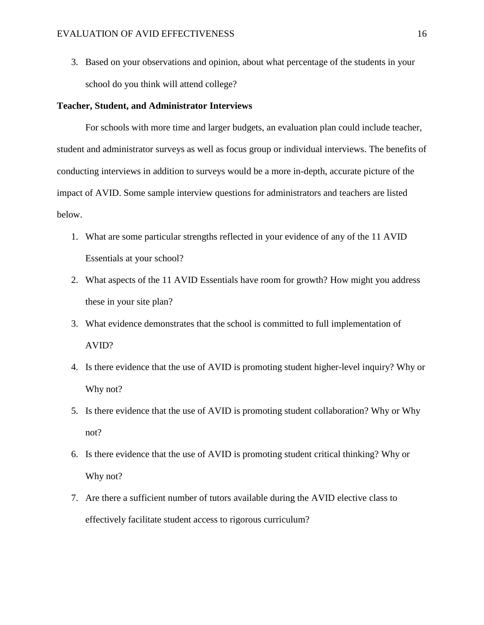3. Based on your observations and opinion, about what percentage of the students in your school do you think will attend college?

#### **Teacher, Student, and Administrator Interviews**

For schools with more time and larger budgets, an evaluation plan could include teacher, student and administrator surveys as well as focus group or individual interviews. The benefits of conducting interviews in addition to surveys would be a more in-depth, accurate picture of the impact of AVID. Some sample interview questions for administrators and teachers are listed below.

- 1. What are some particular strengths reflected in your evidence of any of the 11 AVID Essentials at your school?
- 2. What aspects of the 11 AVID Essentials have room for growth? How might you address these in your site plan?
- 3. What evidence demonstrates that the school is committed to full implementation of AVID?
- 4. Is there evidence that the use of AVID is promoting student higher-level inquiry? Why or Why not?
- 5. Is there evidence that the use of AVID is promoting student collaboration? Why or Why not?
- 6. Is there evidence that the use of AVID is promoting student critical thinking? Why or Why not?
- 7. Are there a sufficient number of tutors available during the AVID elective class to effectively facilitate student access to rigorous curriculum?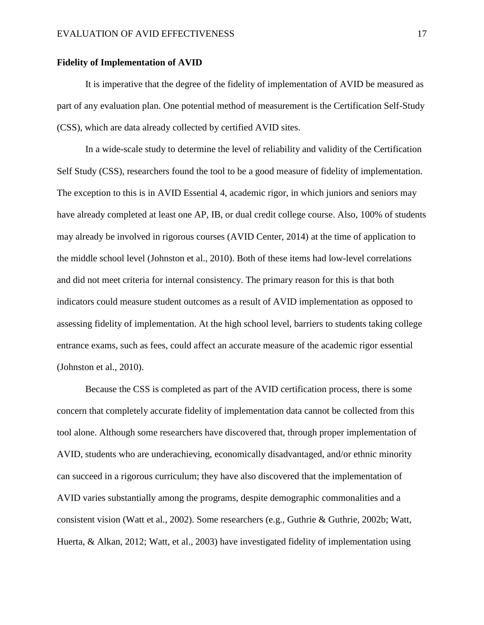## **Fidelity of Implementation of AVID**

It is imperative that the degree of the fidelity of implementation of AVID be measured as part of any evaluation plan. One potential method of measurement is the Certification Self-Study (CSS), which are data already collected by certified AVID sites.

In a wide-scale study to determine the level of reliability and validity of the Certification Self Study (CSS), researchers found the tool to be a good measure of fidelity of implementation. The exception to this is in AVID Essential 4, academic rigor, in which juniors and seniors may have already completed at least one AP, IB, or dual credit college course. Also, 100% of students may already be involved in rigorous courses (AVID Center, 2014) at the time of application to the middle school level (Johnston et al., 2010). Both of these items had low-level correlations and did not meet criteria for internal consistency. The primary reason for this is that both indicators could measure student outcomes as a result of AVID implementation as opposed to assessing fidelity of implementation. At the high school level, barriers to students taking college entrance exams, such as fees, could affect an accurate measure of the academic rigor essential (Johnston et al., 2010).

Because the CSS is completed as part of the AVID certification process, there is some concern that completely accurate fidelity of implementation data cannot be collected from this tool alone. Although some researchers have discovered that, through proper implementation of AVID, students who are underachieving, economically disadvantaged, and/or ethnic minority can succeed in a rigorous curriculum; they have also discovered that the implementation of AVID varies substantially among the programs, despite demographic commonalities and a consistent vision (Watt et al., 2002). Some researchers (e.g., Guthrie & Guthrie, 2002b; Watt, Huerta, & Alkan, 2012; Watt, et al., 2003) have investigated fidelity of implementation using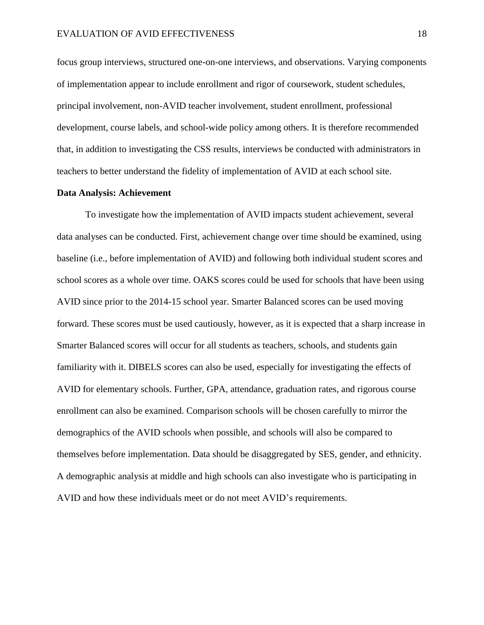focus group interviews, structured one-on-one interviews, and observations. Varying components of implementation appear to include enrollment and rigor of coursework, student schedules, principal involvement, non-AVID teacher involvement, student enrollment, professional development, course labels, and school-wide policy among others. It is therefore recommended that, in addition to investigating the CSS results, interviews be conducted with administrators in teachers to better understand the fidelity of implementation of AVID at each school site.

# **Data Analysis: Achievement**

To investigate how the implementation of AVID impacts student achievement, several data analyses can be conducted. First, achievement change over time should be examined, using baseline (i.e., before implementation of AVID) and following both individual student scores and school scores as a whole over time. OAKS scores could be used for schools that have been using AVID since prior to the 2014-15 school year. Smarter Balanced scores can be used moving forward. These scores must be used cautiously, however, as it is expected that a sharp increase in Smarter Balanced scores will occur for all students as teachers, schools, and students gain familiarity with it. DIBELS scores can also be used, especially for investigating the effects of AVID for elementary schools. Further, GPA, attendance, graduation rates, and rigorous course enrollment can also be examined. Comparison schools will be chosen carefully to mirror the demographics of the AVID schools when possible, and schools will also be compared to themselves before implementation. Data should be disaggregated by SES, gender, and ethnicity. A demographic analysis at middle and high schools can also investigate who is participating in AVID and how these individuals meet or do not meet AVID's requirements.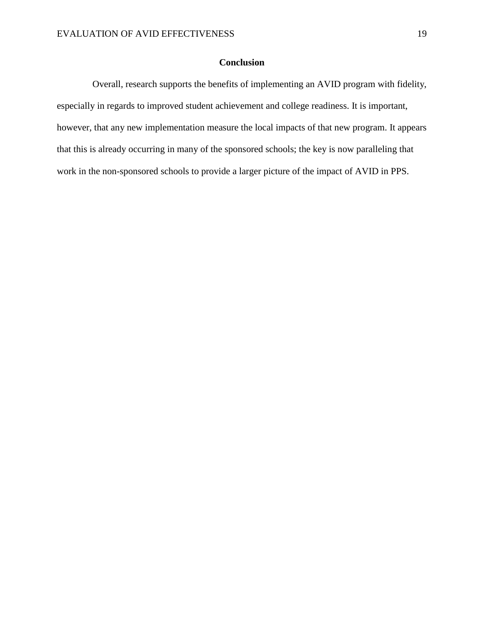# **Conclusion**

 Overall, research supports the benefits of implementing an AVID program with fidelity, especially in regards to improved student achievement and college readiness. It is important, however, that any new implementation measure the local impacts of that new program. It appears that this is already occurring in many of the sponsored schools; the key is now paralleling that work in the non-sponsored schools to provide a larger picture of the impact of AVID in PPS.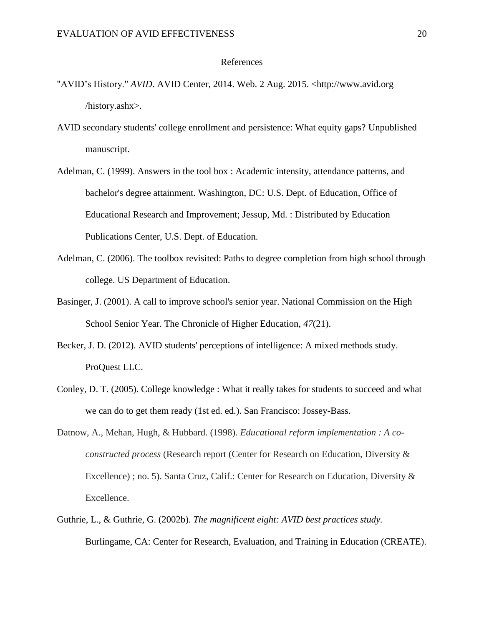#### References

- "AVID's History." *AVID*. AVID Center, 2014. Web. 2 Aug. 2015. <http://www.avid.org /history.ashx>.
- AVID secondary students' college enrollment and persistence: What equity gaps? Unpublished manuscript.
- Adelman, C. (1999). Answers in the tool box : Academic intensity, attendance patterns, and bachelor's degree attainment. Washington, DC: U.S. Dept. of Education, Office of Educational Research and Improvement; Jessup, Md. : Distributed by Education Publications Center, U.S. Dept. of Education.
- Adelman, C. (2006). The toolbox revisited: Paths to degree completion from high school through college. US Department of Education.
- Basinger, J. (2001). A call to improve school's senior year. National Commission on the High School Senior Year. The Chronicle of Higher Education, *47*(21).
- Becker, J. D. (2012). AVID students' perceptions of intelligence: A mixed methods study. ProQuest LLC.
- Conley, D. T. (2005). College knowledge : What it really takes for students to succeed and what we can do to get them ready (1st ed. ed.). San Francisco: Jossey-Bass.
- Datnow, A., Mehan, Hugh, & Hubbard. (1998). *Educational reform implementation : A coconstructed process* (Research report (Center for Research on Education, Diversity & Excellence) ; no. 5). Santa Cruz, Calif.: Center for Research on Education, Diversity & Excellence.
- Guthrie, L., & Guthrie, G. (2002b). *The magnificent eight: AVID best practices study.* Burlingame, CA: Center for Research, Evaluation, and Training in Education (CREATE).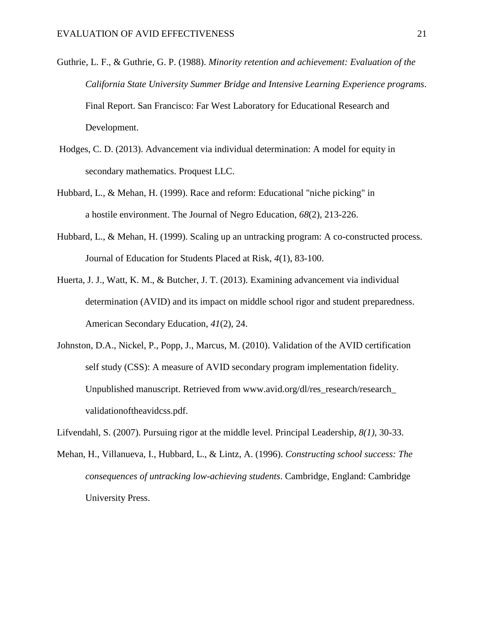- Guthrie, L. F., & Guthrie, G. P. (1988). *Minority retention and achievement: Evaluation of the California State University Summer Bridge and Intensive Learning Experience programs*. Final Report. San Francisco: Far West Laboratory for Educational Research and Development.
- Hodges, C. D. (2013). Advancement via individual determination: A model for equity in secondary mathematics. Proquest LLC.
- Hubbard, L., & Mehan, H. (1999). Race and reform: Educational "niche picking" in a hostile environment. The Journal of Negro Education, *68*(2), 213-226.
- Hubbard, L., & Mehan, H. (1999). Scaling up an untracking program: A co-constructed process. Journal of Education for Students Placed at Risk, *4*(1), 83-100.
- Huerta, J. J., Watt, K. M., & Butcher, J. T. (2013). Examining advancement via individual determination (AVID) and its impact on middle school rigor and student preparedness. American Secondary Education, *41*(2), 24.
- Johnston, D.A., Nickel, P., Popp, J., Marcus, M. (2010). Validation of the AVID certification self study (CSS): A measure of AVID secondary program implementation fidelity. Unpublished manuscript. Retrieved from www.avid.org/dl/res\_research/research\_ validationoftheavidcss.pdf.
- Lifvendahl, S. (2007). Pursuing rigor at the middle level. Principal Leadership, *8(1),* 30-33.
- Mehan, H., Villanueva, I., Hubbard, L., & Lintz, A. (1996). *Constructing school success: The consequences of untracking low-achieving students*. Cambridge, England: Cambridge University Press.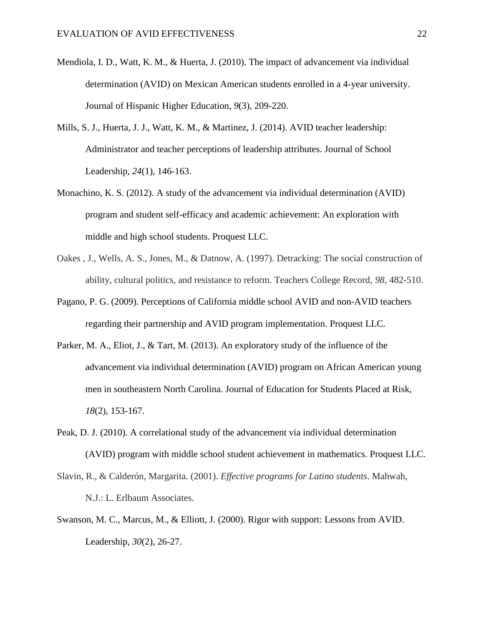- Mendiola, I. D., Watt, K. M., & Huerta, J. (2010). The impact of advancement via individual determination (AVID) on Mexican American students enrolled in a 4-year university. Journal of Hispanic Higher Education, *9*(3), 209-220.
- Mills, S. J., Huerta, J. J., Watt, K. M., & Martinez, J. (2014). AVID teacher leadership: Administrator and teacher perceptions of leadership attributes. Journal of School Leadership, *24*(1), 146-163.
- Monachino, K. S. (2012). A study of the advancement via individual determination (AVID) program and student self-efficacy and academic achievement: An exploration with middle and high school students. Proquest LLC.
- Oakes , J., Wells, A. S., Jones, M., & Datnow, A. (1997). Detracking: The social construction of ability, cultural politics, and resistance to reform. Teachers College Record, *98*, 482-510.
- Pagano, P. G. (2009). Perceptions of California middle school AVID and non-AVID teachers regarding their partnership and AVID program implementation. Proquest LLC.
- Parker, M. A., Eliot, J., & Tart, M. (2013). An exploratory study of the influence of the advancement via individual determination (AVID) program on African American young men in southeastern North Carolina. Journal of Education for Students Placed at Risk, *18*(2), 153-167.
- Peak, D. J. (2010). A correlational study of the advancement via individual determination (AVID) program with middle school student achievement in mathematics. Proquest LLC.
- Slavin, R., & Calderón, Margarita. (2001). *Effective programs for Latino students*. Mahwah, N.J.: L. Erlbaum Associates.
- Swanson, M. C., Marcus, M., & Elliott, J. (2000). Rigor with support: Lessons from AVID. Leadership, *30*(2), 26-27.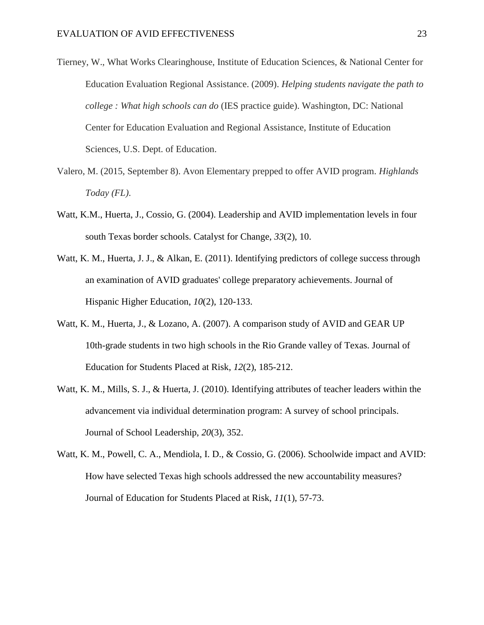- Tierney, W., What Works Clearinghouse, Institute of Education Sciences, & National Center for Education Evaluation Regional Assistance. (2009). *Helping students navigate the path to college : What high schools can do* (IES practice guide). Washington, DC: National Center for Education Evaluation and Regional Assistance, Institute of Education Sciences, U.S. Dept. of Education.
- Valero, M. (2015, September 8). Avon Elementary prepped to offer AVID program. *Highlands Today (FL)*.
- Watt, K.M., Huerta, J., Cossio, G. (2004). Leadership and AVID implementation levels in four south Texas border schools. Catalyst for Change, *33*(2), 10.
- Watt, K. M., Huerta, J. J., & Alkan, E. (2011). Identifying predictors of college success through an examination of AVID graduates' college preparatory achievements. Journal of Hispanic Higher Education, *10*(2), 120-133.
- Watt, K. M., Huerta, J., & Lozano, A. (2007). A comparison study of AVID and GEAR UP 10th-grade students in two high schools in the Rio Grande valley of Texas. Journal of Education for Students Placed at Risk, *12*(2), 185-212.
- Watt, K. M., Mills, S. J., & Huerta, J. (2010). Identifying attributes of teacher leaders within the advancement via individual determination program: A survey of school principals. Journal of School Leadership, *20*(3), 352.
- Watt, K. M., Powell, C. A., Mendiola, I. D., & Cossio, G. (2006). Schoolwide impact and AVID: How have selected Texas high schools addressed the new accountability measures? Journal of Education for Students Placed at Risk, *11*(1), 57-73.